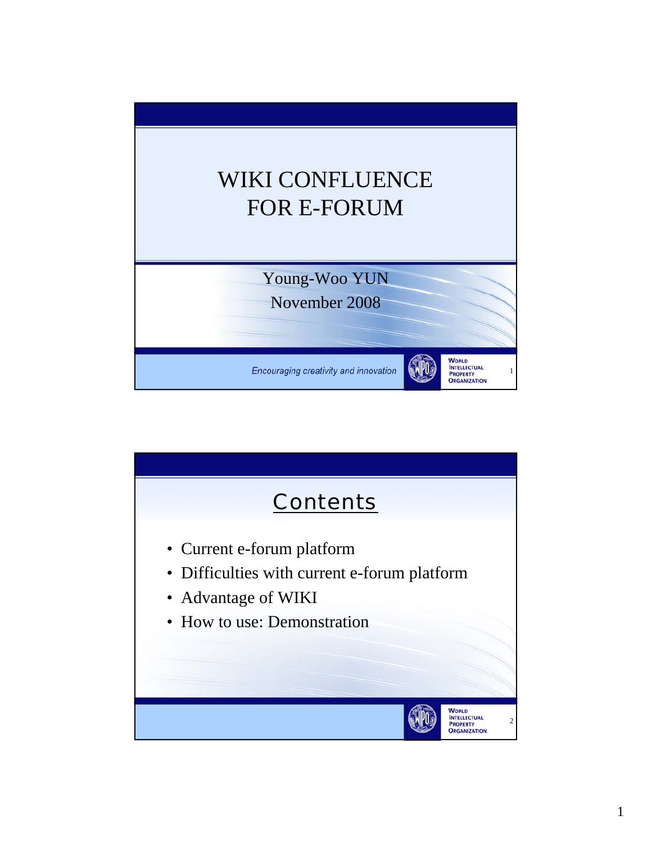

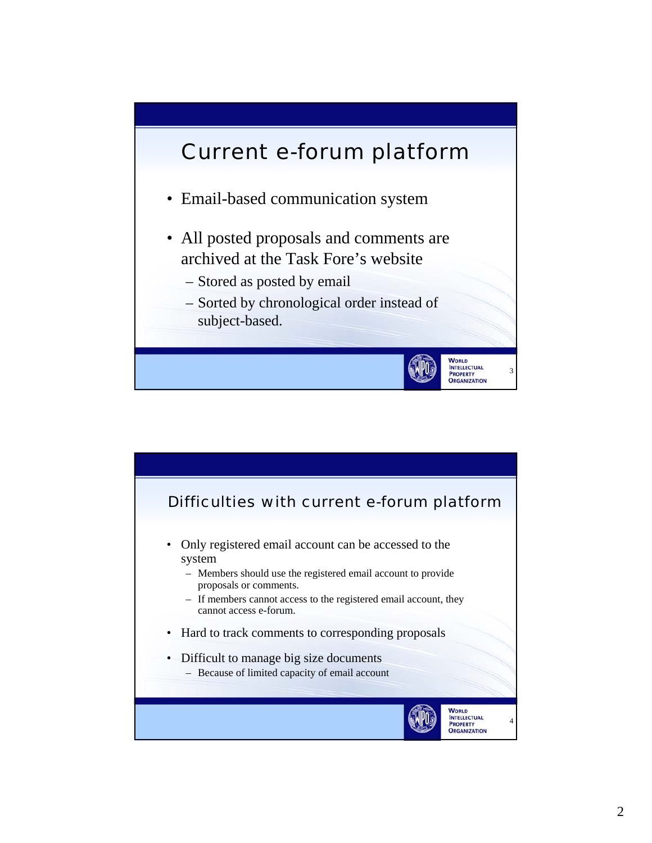

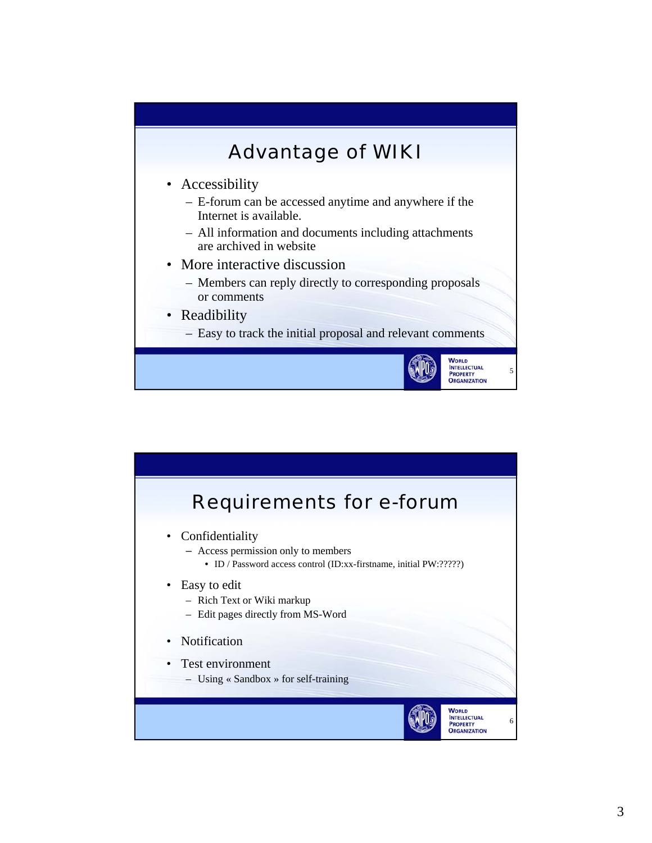## Advantage of WIKI

- Accessibility
	- E-forum can be accessed anytime and anywhere if the Internet is available.
	- All information and documents including attachments are archived in website
- More interactive discussion
	- Members can reply directly to corresponding proposals or comments
- Readibility
	- Easy to track the initial proposal and relevant comments

5

World<br>Intellectual<br>Property<br>Organization

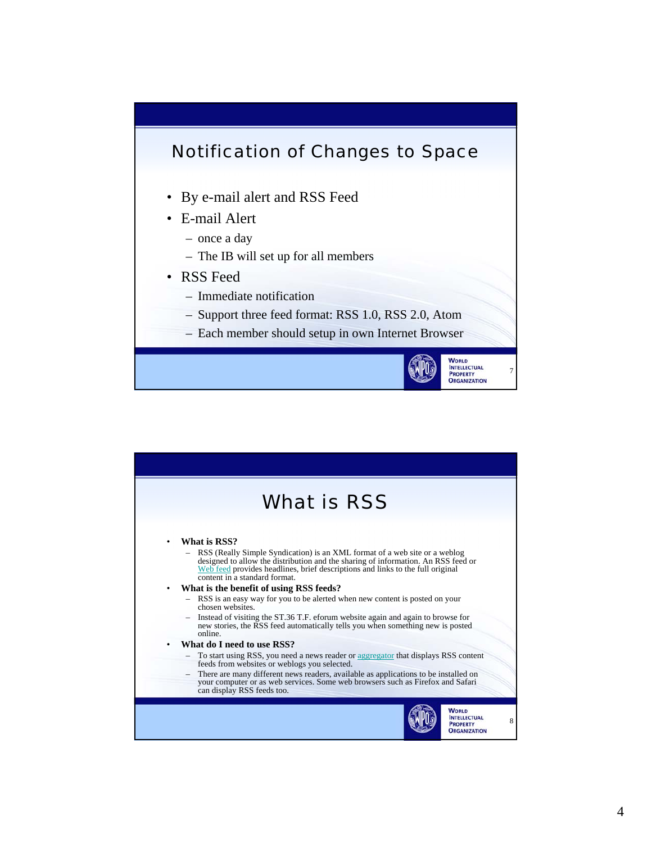## Notification of Changes to Space

- By e-mail alert and RSS Feed
- E-mail Alert
	- once a day
	- The IB will set up for all members
- RSS Feed
	- Immediate notification
	- Support three feed format: RSS 1.0, RSS 2.0, Atom
	- Each member should setup in own Internet Browser

7

**WORLD** 

INTELLECTUAL<br>PROPERTY<br>ORGANIZATION

**APO**